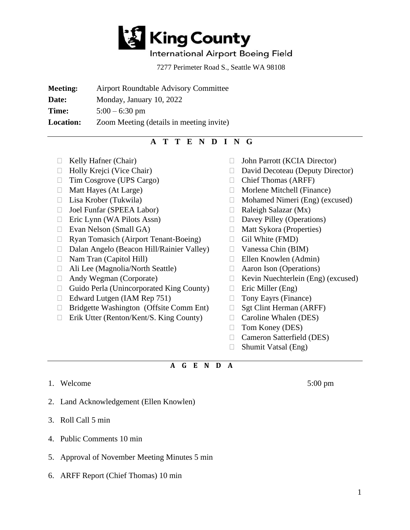

## International Airport Boeing Field

7277 Perimeter Road S., Seattle WA 98108

**Meeting:** Airport Roundtable Advisory Committee

**Date:** Monday, January 10, 2022

**Time:**  $5:00 - 6:30 \text{ pm}$ 

**Location:** Zoom Meeting (details in meeting invite)

## **A T T E N D I N G**

- 
- 
- □ Tim Cosgrove (UPS Cargo)
- $\Box$  Matt Hayes (At Large)
- 
- Joel Funfar (SPEEA Labor)
- $\Box$  Eric Lynn (WA Pilots Assn)
- □ Evan Nelson (Small GA)
- Ryan Tomasich (Airport Tenant-Boeing)
- Dalan Angelo (Beacon Hill/Rainier Valley)
- Nam Tran (Capitol Hill)
- Ali Lee (Magnolia/North Seattle)
- □ Andy Wegman (Corporate)
- $\Box$  Guido Perla (Unincorporated King County)
- $\Box$  Edward Lutgen (IAM Rep 751)
- Bridgette Washington (Offsite Comm Ent)
- □ Erik Utter (Renton/Kent/S. King County)
- □ Kelly Hafner (Chair) □ John Parrott (KCIA Director)
- $\Box$  Holly Krejci (Vice Chair)  $\Box$  David Decoteau (Deputy Director)
	- Chief Thomas (ARFF)
	- Morlene Mitchell (Finance)
- $\Box$  Lisa Krober (Tukwila)  $\Box$  Mohamed Nimeri (Eng) (excused)
	- $\Box$  Raleigh Salazar (Mx)
	- $\Box$  Davey Pilley (Operations)
	- $\Box$  Matt Sykora (Properties)
	- $\Box$  Gil White (FMD)
	- Vanessa Chin (BIM)
	- $\Box$  Ellen Knowlen (Admin)
	- Aaron Ison (Operations)
	- Kevin Nuechterlein (Eng) (excused)
	- $\Box$  Eric Miller (Eng)
	- □ Tony Eayrs (Finance)
	- $\Box$  Sgt Clint Herman (ARFF)
	- □ Caroline Whalen (DES)
	- □ Tom Koney (DES)
	- □ Cameron Satterfield (DES)
	- $\Box$  Shumit Vatsal (Eng)

## **A G E N D A**

1. Welcome 5:00 pm

- 2. Land Acknowledgement (Ellen Knowlen)
- 3. Roll Call 5 min
- 4. Public Comments 10 min
- 5. Approval of November Meeting Minutes 5 min
- 6. ARFF Report (Chief Thomas) 10 min